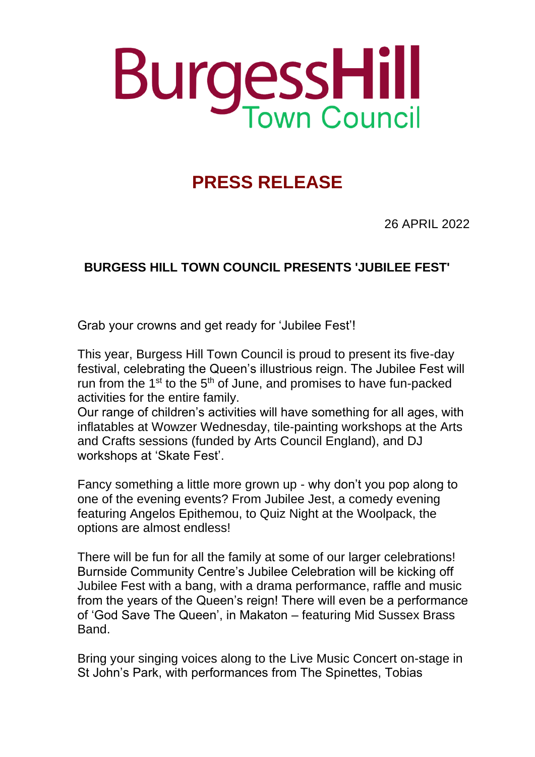## **BurgessHill**

## **PRESS RELEASE**

26 APRIL 2022

## **BURGESS HILL TOWN COUNCIL PRESENTS 'JUBILEE FEST'**

Grab your crowns and get ready for 'Jubilee Fest'!

This year, Burgess Hill Town Council is proud to present its five-day festival, celebrating the Queen's illustrious reign. The Jubilee Fest will run from the  $1^{st}$  to the  $5^{th}$  of June, and promises to have fun-packed activities for the entire family.

Our range of children's activities will have something for all ages, with inflatables at Wowzer Wednesday, tile-painting workshops at the Arts and Crafts sessions (funded by Arts Council England), and DJ workshops at 'Skate Fest'.

Fancy something a little more grown up - why don't you pop along to one of the evening events? From Jubilee Jest, a comedy evening featuring Angelos Epithemou, to Quiz Night at the Woolpack, the options are almost endless!

There will be fun for all the family at some of our larger celebrations! Burnside Community Centre's Jubilee Celebration will be kicking off Jubilee Fest with a bang, with a drama performance, raffle and music from the years of the Queen's reign! There will even be a performance of 'God Save The Queen', in Makaton – featuring Mid Sussex Brass Band.

Bring your singing voices along to the Live Music Concert on-stage in St John's Park, with performances from The Spinettes, Tobias